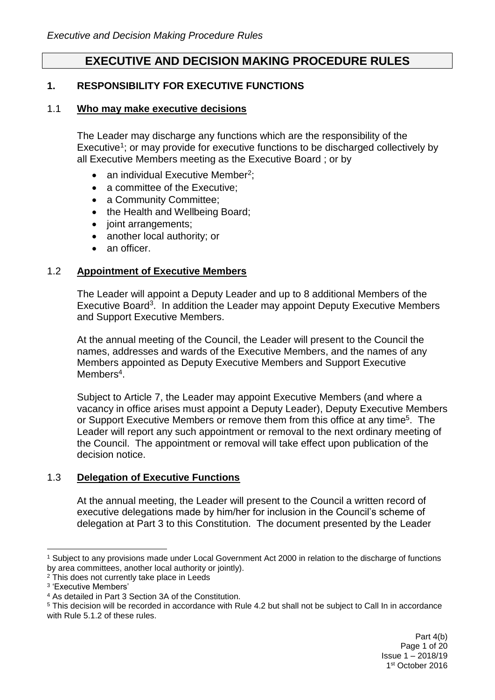# **EXECUTIVE AND DECISION MAKING PROCEDURE RULES**

### **1. RESPONSIBILITY FOR EXECUTIVE FUNCTIONS**

#### 1.1 **Who may make executive decisions**

The Leader may discharge any functions which are the responsibility of the Executive<sup>1</sup>; or may provide for executive functions to be discharged collectively by all Executive Members meeting as the Executive Board ; or by

- an individual Executive Member<sup>2</sup>;
- a committee of the Executive:
- a Community Committee:
- the Health and Wellbeing Board;
- joint arrangements;
- another local authority; or
- an officer.

### 1.2 **Appointment of Executive Members**

The Leader will appoint a Deputy Leader and up to 8 additional Members of the Executive Board<sup>3</sup>. In addition the Leader may appoint Deputy Executive Members and Support Executive Members.

At the annual meeting of the Council, the Leader will present to the Council the names, addresses and wards of the Executive Members, and the names of any Members appointed as Deputy Executive Members and Support Executive Members<sup>4</sup>.

Subject to Article 7, the Leader may appoint Executive Members (and where a vacancy in office arises must appoint a Deputy Leader), Deputy Executive Members or Support Executive Members or remove them from this office at any time<sup>5</sup>. The Leader will report any such appointment or removal to the next ordinary meeting of the Council. The appointment or removal will take effect upon publication of the decision notice.

## 1.3 **Delegation of Executive Functions**

At the annual meeting, the Leader will present to the Council a written record of executive delegations made by him/her for inclusion in the Council's scheme of delegation at Part 3 to this Constitution. The document presented by the Leader

<sup>1</sup> Subject to any provisions made under Local Government Act 2000 in relation to the discharge of functions by area committees, another local authority or jointly).

<sup>&</sup>lt;sup>2</sup> This does not currently take place in Leeds

<sup>3</sup> 'Executive Members'

<sup>4</sup> As detailed in Part 3 Section 3A of the Constitution.

<sup>5</sup> This decision will be recorded in accordance with Rule 4.2 but shall not be subject to Call In in accordance with Rule 5.1.2 of these rules.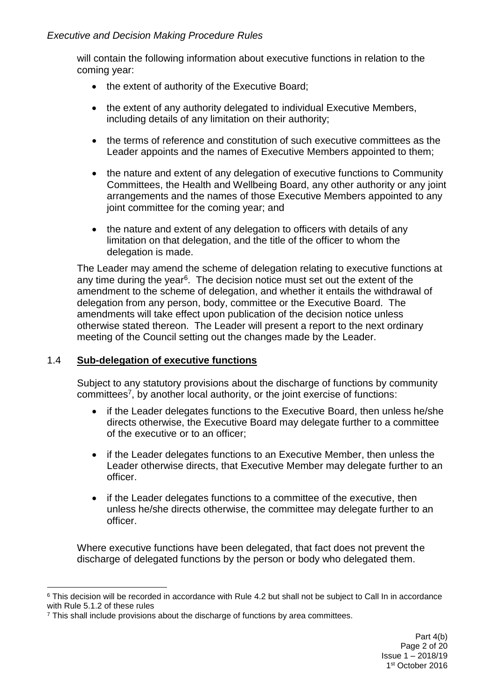will contain the following information about executive functions in relation to the coming year:

- the extent of authority of the Executive Board;
- the extent of any authority delegated to individual Executive Members, including details of any limitation on their authority;
- the terms of reference and constitution of such executive committees as the Leader appoints and the names of Executive Members appointed to them;
- the nature and extent of any delegation of executive functions to Community Committees, the Health and Wellbeing Board, any other authority or any joint arrangements and the names of those Executive Members appointed to any joint committee for the coming year; and
- the nature and extent of any delegation to officers with details of any limitation on that delegation, and the title of the officer to whom the delegation is made.

The Leader may amend the scheme of delegation relating to executive functions at any time during the year<sup>6</sup>. The decision notice must set out the extent of the amendment to the scheme of delegation, and whether it entails the withdrawal of delegation from any person, body, committee or the Executive Board. The amendments will take effect upon publication of the decision notice unless otherwise stated thereon. The Leader will present a report to the next ordinary meeting of the Council setting out the changes made by the Leader.

## 1.4 **Sub-delegation of executive functions**

1

Subject to any statutory provisions about the discharge of functions by community committees<sup>7</sup>, by another local authority, or the joint exercise of functions:

- if the Leader delegates functions to the Executive Board, then unless he/she directs otherwise, the Executive Board may delegate further to a committee of the executive or to an officer;
- if the Leader delegates functions to an Executive Member, then unless the Leader otherwise directs, that Executive Member may delegate further to an officer.
- if the Leader delegates functions to a committee of the executive, then unless he/she directs otherwise, the committee may delegate further to an officer.

Where executive functions have been delegated, that fact does not prevent the discharge of delegated functions by the person or body who delegated them.

<sup>&</sup>lt;sup>6</sup> This decision will be recorded in accordance with Rule 4.2 but shall not be subject to Call In in accordance with Rule 5.1.2 of these rules

<sup>7</sup> This shall include provisions about the discharge of functions by area committees.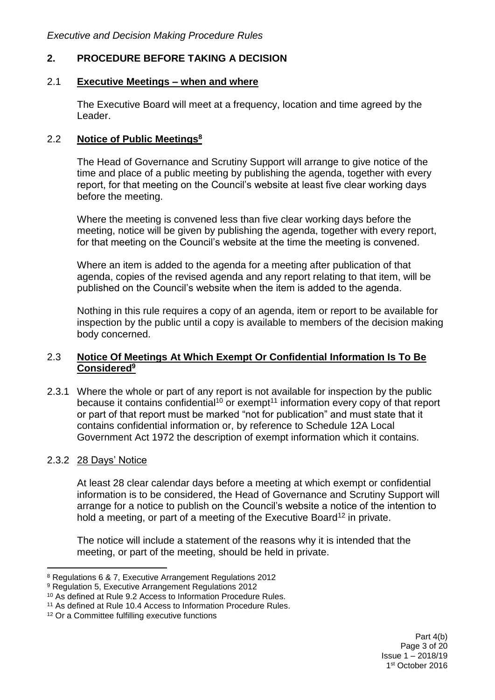# **2. PROCEDURE BEFORE TAKING A DECISION**

### 2.1 **Executive Meetings – when and where**

The Executive Board will meet at a frequency, location and time agreed by the Leader.

### 2.2 **Notice of Public Meetings<sup>8</sup>**

The Head of Governance and Scrutiny Support will arrange to give notice of the time and place of a public meeting by publishing the agenda, together with every report, for that meeting on the Council's website at least five clear working days before the meeting.

Where the meeting is convened less than five clear working days before the meeting, notice will be given by publishing the agenda, together with every report, for that meeting on the Council's website at the time the meeting is convened.

Where an item is added to the agenda for a meeting after publication of that agenda, copies of the revised agenda and any report relating to that item, will be published on the Council's website when the item is added to the agenda.

Nothing in this rule requires a copy of an agenda, item or report to be available for inspection by the public until a copy is available to members of the decision making body concerned.

### 2.3 **Notice Of Meetings At Which Exempt Or Confidential Information Is To Be Considered<sup>9</sup>**

2.3.1 Where the whole or part of any report is not available for inspection by the public because it contains confidential<sup>10</sup> or exempt<sup>11</sup> information every copy of that report or part of that report must be marked "not for publication" and must state that it contains confidential information or, by reference to Schedule 12A Local Government Act 1972 the description of exempt information which it contains.

### 2.3.2 28 Days' Notice

1

At least 28 clear calendar days before a meeting at which exempt or confidential information is to be considered, the Head of Governance and Scrutiny Support will arrange for a notice to publish on the Council's website a notice of the intention to hold a meeting, or part of a meeting of the Executive Board<sup>12</sup> in private.

The notice will include a statement of the reasons why it is intended that the meeting, or part of the meeting, should be held in private.

Part 4(b) Page 3 of 20 Issue 1 – 2018/19 1 st October 2016

<sup>8</sup> Regulations 6 & 7, Executive Arrangement Regulations 2012

<sup>9</sup> Regulation 5, Executive Arrangement Regulations 2012

<sup>10</sup> As defined at Rule 9.2 Access to Information Procedure Rules.

<sup>11</sup> As defined at Rule 10.4 Access to Information Procedure Rules.

<sup>12</sup> Or a Committee fulfilling executive functions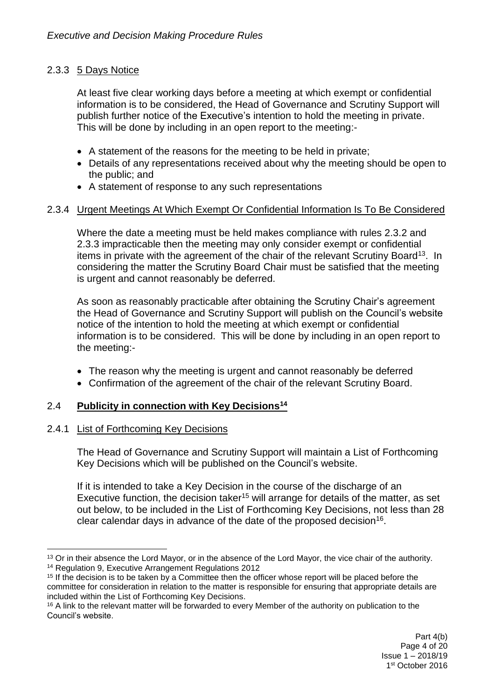# 2.3.3 5 Days Notice

At least five clear working days before a meeting at which exempt or confidential information is to be considered, the Head of Governance and Scrutiny Support will publish further notice of the Executive's intention to hold the meeting in private. This will be done by including in an open report to the meeting:-

- A statement of the reasons for the meeting to be held in private;
- Details of any representations received about why the meeting should be open to the public; and
- A statement of response to any such representations

### 2.3.4 Urgent Meetings At Which Exempt Or Confidential Information Is To Be Considered

Where the date a meeting must be held makes compliance with rules 2.3.2 and 2.3.3 impracticable then the meeting may only consider exempt or confidential items in private with the agreement of the chair of the relevant Scrutiny Board<sup>13</sup>. In considering the matter the Scrutiny Board Chair must be satisfied that the meeting is urgent and cannot reasonably be deferred.

As soon as reasonably practicable after obtaining the Scrutiny Chair's agreement the Head of Governance and Scrutiny Support will publish on the Council's website notice of the intention to hold the meeting at which exempt or confidential information is to be considered. This will be done by including in an open report to the meeting:-

- The reason why the meeting is urgent and cannot reasonably be deferred
- Confirmation of the agreement of the chair of the relevant Scrutiny Board.

### 2.4 **Publicity in connection with Key Decisions<sup>14</sup>**

### 2.4.1 List of Forthcoming Key Decisions

The Head of Governance and Scrutiny Support will maintain a List of Forthcoming Key Decisions which will be published on the Council's website.

If it is intended to take a Key Decision in the course of the discharge of an Executive function, the decision taker<sup>15</sup> will arrange for details of the matter, as set out below, to be included in the List of Forthcoming Key Decisions, not less than 28 clear calendar days in advance of the date of the proposed decision<sup>16</sup>.

<sup>1</sup> <sup>13</sup> Or in their absence the Lord Mayor, or in the absence of the Lord Mayor, the vice chair of the authority. <sup>14</sup> Regulation 9, Executive Arrangement Regulations 2012

<sup>&</sup>lt;sup>15</sup> If the decision is to be taken by a Committee then the officer whose report will be placed before the committee for consideration in relation to the matter is responsible for ensuring that appropriate details are included within the List of Forthcoming Key Decisions.

<sup>&</sup>lt;sup>16</sup> A link to the relevant matter will be forwarded to every Member of the authority on publication to the Council's website.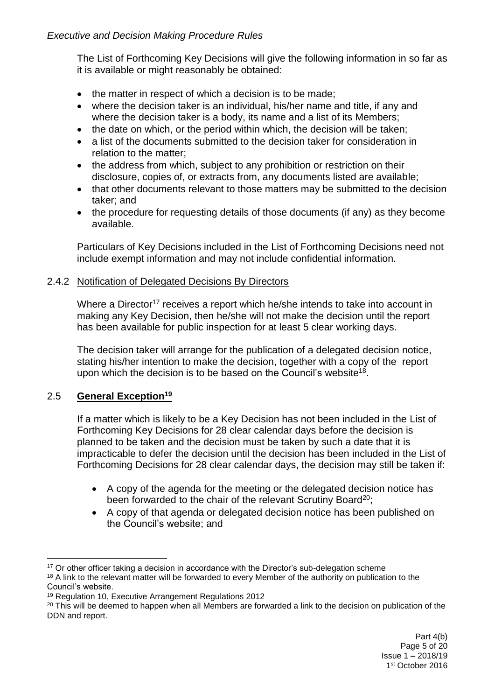The List of Forthcoming Key Decisions will give the following information in so far as it is available or might reasonably be obtained:

- $\bullet$  the matter in respect of which a decision is to be made;
- where the decision taker is an individual, his/her name and title, if any and where the decision taker is a body, its name and a list of its Members;
- the date on which, or the period within which, the decision will be taken;
- a list of the documents submitted to the decision taker for consideration in relation to the matter;
- the address from which, subject to any prohibition or restriction on their disclosure, copies of, or extracts from, any documents listed are available;
- that other documents relevant to those matters may be submitted to the decision taker; and
- the procedure for requesting details of those documents (if any) as they become available.

Particulars of Key Decisions included in the List of Forthcoming Decisions need not include exempt information and may not include confidential information.

# 2.4.2 Notification of Delegated Decisions By Directors

Where a Director<sup>17</sup> receives a report which he/she intends to take into account in making any Key Decision, then he/she will not make the decision until the report has been available for public inspection for at least 5 clear working days.

The decision taker will arrange for the publication of a delegated decision notice, stating his/her intention to make the decision, together with a copy of the report upon which the decision is to be based on the Council's website<sup>18</sup>.

# 2.5 **General Exception<sup>19</sup>**

If a matter which is likely to be a Key Decision has not been included in the List of Forthcoming Key Decisions for 28 clear calendar days before the decision is planned to be taken and the decision must be taken by such a date that it is impracticable to defer the decision until the decision has been included in the List of Forthcoming Decisions for 28 clear calendar days, the decision may still be taken if:

- A copy of the agenda for the meeting or the delegated decision notice has been forwarded to the chair of the relevant Scrutiny Board<sup>20</sup>;
- A copy of that agenda or delegated decision notice has been published on the Council's website; and

<sup>1</sup> <sup>17</sup> Or other officer taking a decision in accordance with the Director's sub-delegation scheme

<sup>&</sup>lt;sup>18</sup> A link to the relevant matter will be forwarded to every Member of the authority on publication to the Council's website.

<sup>19</sup> Regulation 10, Executive Arrangement Regulations 2012

<sup>&</sup>lt;sup>20</sup> This will be deemed to happen when all Members are forwarded a link to the decision on publication of the DDN and report.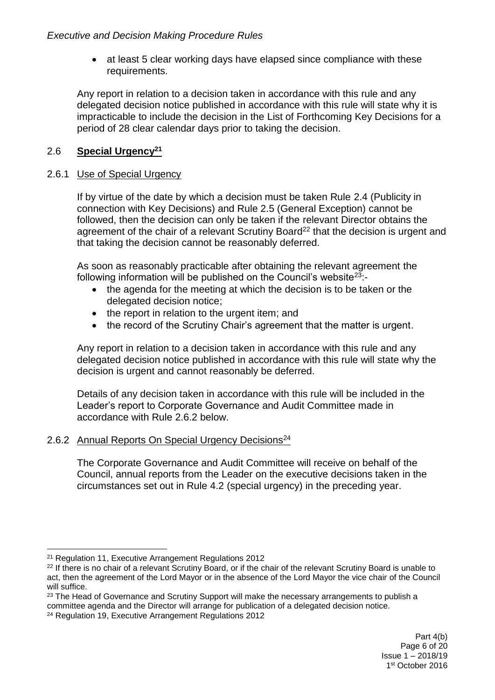• at least 5 clear working days have elapsed since compliance with these requirements.

Any report in relation to a decision taken in accordance with this rule and any delegated decision notice published in accordance with this rule will state why it is impracticable to include the decision in the List of Forthcoming Key Decisions for a period of 28 clear calendar days prior to taking the decision.

# 2.6 **Special Urgency<sup>21</sup>**

### 2.6.1 Use of Special Urgency

If by virtue of the date by which a decision must be taken Rule 2.4 (Publicity in connection with Key Decisions) and Rule 2.5 (General Exception) cannot be followed, then the decision can only be taken if the relevant Director obtains the agreement of the chair of a relevant Scrutiny Board<sup>22</sup> that the decision is urgent and that taking the decision cannot be reasonably deferred.

As soon as reasonably practicable after obtaining the relevant agreement the following information will be published on the Council's website  $23$ :-

- the agenda for the meeting at which the decision is to be taken or the delegated decision notice;
- the report in relation to the urgent item; and
- the record of the Scrutiny Chair's agreement that the matter is urgent.

Any report in relation to a decision taken in accordance with this rule and any delegated decision notice published in accordance with this rule will state why the decision is urgent and cannot reasonably be deferred.

Details of any decision taken in accordance with this rule will be included in the Leader's report to Corporate Governance and Audit Committee made in accordance with Rule 2.6.2 below.

### 2.6.2 Annual Reports On Special Urgency Decisions<sup>24</sup>

The Corporate Governance and Audit Committee will receive on behalf of the Council, annual reports from the Leader on the executive decisions taken in the circumstances set out in Rule 4.2 (special urgency) in the preceding year.

<sup>21</sup> Regulation 11, Executive Arrangement Regulations 2012

<sup>&</sup>lt;sup>22</sup> If there is no chair of a relevant Scrutiny Board, or if the chair of the relevant Scrutiny Board is unable to act, then the agreement of the Lord Mayor or in the absence of the Lord Mayor the vice chair of the Council will suffice.

<sup>&</sup>lt;sup>23</sup> The Head of Governance and Scrutiny Support will make the necessary arrangements to publish a committee agenda and the Director will arrange for publication of a delegated decision notice.

<sup>&</sup>lt;sup>24</sup> Regulation 19, Executive Arrangement Regulations 2012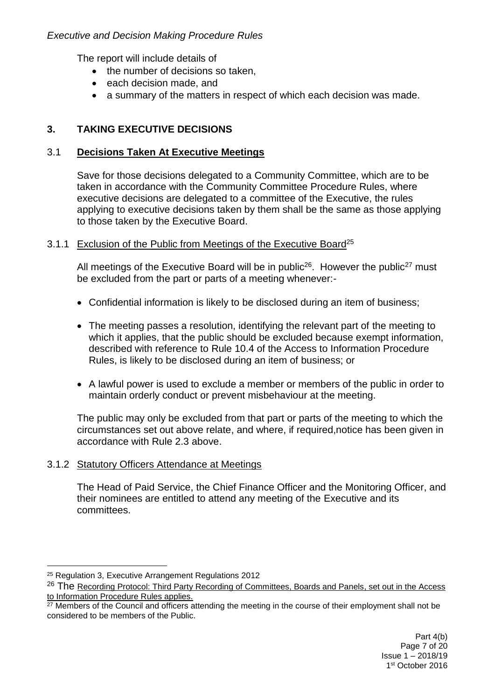The report will include details of

- the number of decisions so taken,
- each decision made, and
- a summary of the matters in respect of which each decision was made.

# **3. TAKING EXECUTIVE DECISIONS**

### 3.1 **Decisions Taken At Executive Meetings**

Save for those decisions delegated to a Community Committee, which are to be taken in accordance with the Community Committee Procedure Rules, where executive decisions are delegated to a committee of the Executive, the rules applying to executive decisions taken by them shall be the same as those applying to those taken by the Executive Board.

### 3.1.1 Exclusion of the Public from Meetings of the Executive Board<sup>25</sup>

All meetings of the Executive Board will be in public<sup>26</sup>. However the public<sup>27</sup> must be excluded from the part or parts of a meeting whenever:-

- Confidential information is likely to be disclosed during an item of business;
- The meeting passes a resolution, identifying the relevant part of the meeting to which it applies, that the public should be excluded because exempt information, described with reference to Rule 10.4 of the Access to Information Procedure Rules, is likely to be disclosed during an item of business; or
- A lawful power is used to exclude a member or members of the public in order to maintain orderly conduct or prevent misbehaviour at the meeting.

The public may only be excluded from that part or parts of the meeting to which the circumstances set out above relate, and where, if required,notice has been given in accordance with Rule 2.3 above.

### 3.1.2 Statutory Officers Attendance at Meetings

The Head of Paid Service, the Chief Finance Officer and the Monitoring Officer, and their nominees are entitled to attend any meeting of the Executive and its committees.

<sup>25</sup> Regulation 3, Executive Arrangement Regulations 2012

<sup>&</sup>lt;sup>26</sup> The Recording Protocol: Third Party Recording of Committees, Boards and Panels, set out in the Access to Information Procedure Rules applies.

 $27$  Members of the Council and officers attending the meeting in the course of their employment shall not be considered to be members of the Public.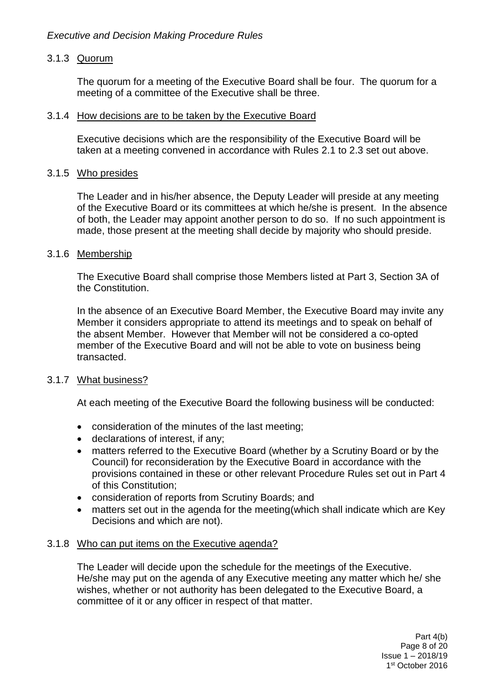### 3.1.3 Quorum

The quorum for a meeting of the Executive Board shall be four. The quorum for a meeting of a committee of the Executive shall be three.

### 3.1.4 How decisions are to be taken by the Executive Board

Executive decisions which are the responsibility of the Executive Board will be taken at a meeting convened in accordance with Rules 2.1 to 2.3 set out above.

#### 3.1.5 Who presides

The Leader and in his/her absence, the Deputy Leader will preside at any meeting of the Executive Board or its committees at which he/she is present. In the absence of both, the Leader may appoint another person to do so. If no such appointment is made, those present at the meeting shall decide by majority who should preside.

#### 3.1.6 Membership

The Executive Board shall comprise those Members listed at Part 3, Section 3A of the Constitution.

In the absence of an Executive Board Member, the Executive Board may invite any Member it considers appropriate to attend its meetings and to speak on behalf of the absent Member. However that Member will not be considered a co-opted member of the Executive Board and will not be able to vote on business being transacted.

### 3.1.7 What business?

At each meeting of the Executive Board the following business will be conducted:

- consideration of the minutes of the last meeting;
- declarations of interest, if any;
- matters referred to the Executive Board (whether by a Scrutiny Board or by the Council) for reconsideration by the Executive Board in accordance with the provisions contained in these or other relevant Procedure Rules set out in Part 4 of this Constitution;
- consideration of reports from Scrutiny Boards; and
- matters set out in the agenda for the meeting(which shall indicate which are Key Decisions and which are not).

### 3.1.8 Who can put items on the Executive agenda?

The Leader will decide upon the schedule for the meetings of the Executive. He/she may put on the agenda of any Executive meeting any matter which he/ she wishes, whether or not authority has been delegated to the Executive Board, a committee of it or any officer in respect of that matter.

> Part 4(b) Page 8 of 20 Issue 1 – 2018/19 1 st October 2016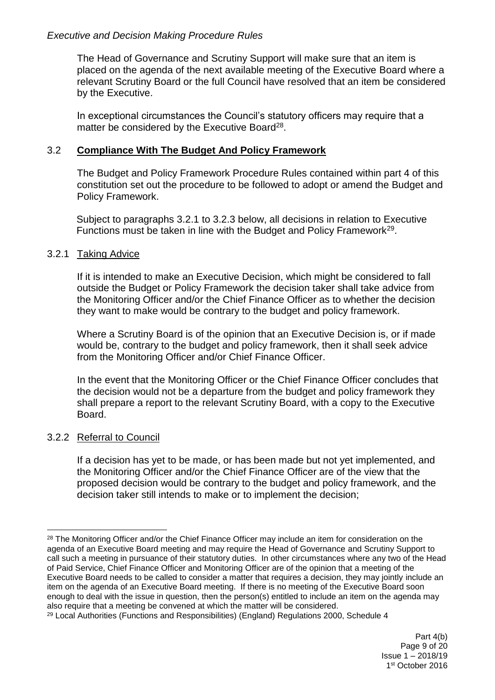The Head of Governance and Scrutiny Support will make sure that an item is placed on the agenda of the next available meeting of the Executive Board where a relevant Scrutiny Board or the full Council have resolved that an item be considered by the Executive.

In exceptional circumstances the Council's statutory officers may require that a matter be considered by the Executive Board<sup>28</sup>.

#### 3.2 **Compliance With The Budget And Policy Framework**

The Budget and Policy Framework Procedure Rules contained within part 4 of this constitution set out the procedure to be followed to adopt or amend the Budget and Policy Framework.

Subject to paragraphs 3.2.1 to 3.2.3 below, all decisions in relation to Executive Functions must be taken in line with the Budget and Policy Framework<sup>29</sup>.

#### 3.2.1 Taking Advice

If it is intended to make an Executive Decision, which might be considered to fall outside the Budget or Policy Framework the decision taker shall take advice from the Monitoring Officer and/or the Chief Finance Officer as to whether the decision they want to make would be contrary to the budget and policy framework.

Where a Scrutiny Board is of the opinion that an Executive Decision is, or if made would be, contrary to the budget and policy framework, then it shall seek advice from the Monitoring Officer and/or Chief Finance Officer.

In the event that the Monitoring Officer or the Chief Finance Officer concludes that the decision would not be a departure from the budget and policy framework they shall prepare a report to the relevant Scrutiny Board, with a copy to the Executive Board.

#### 3.2.2 Referral to Council

If a decision has yet to be made, or has been made but not yet implemented, and the Monitoring Officer and/or the Chief Finance Officer are of the view that the proposed decision would be contrary to the budget and policy framework, and the decision taker still intends to make or to implement the decision;

<sup>1</sup> <sup>28</sup> The Monitoring Officer and/or the Chief Finance Officer may include an item for consideration on the agenda of an Executive Board meeting and may require the Head of Governance and Scrutiny Support to call such a meeting in pursuance of their statutory duties. In other circumstances where any two of the Head of Paid Service, Chief Finance Officer and Monitoring Officer are of the opinion that a meeting of the Executive Board needs to be called to consider a matter that requires a decision, they may jointly include an item on the agenda of an Executive Board meeting. If there is no meeting of the Executive Board soon enough to deal with the issue in question, then the person(s) entitled to include an item on the agenda may also require that a meeting be convened at which the matter will be considered.

<sup>&</sup>lt;sup>29</sup> Local Authorities (Functions and Responsibilities) (England) Regulations 2000, Schedule 4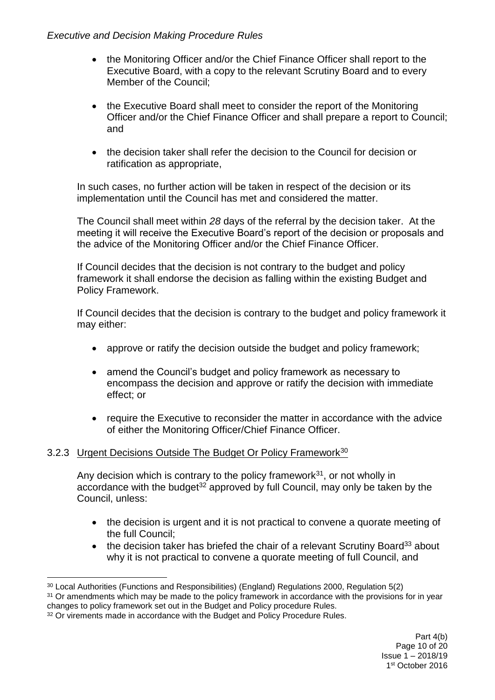- the Monitoring Officer and/or the Chief Finance Officer shall report to the Executive Board, with a copy to the relevant Scrutiny Board and to every Member of the Council;
- the Executive Board shall meet to consider the report of the Monitoring Officer and/or the Chief Finance Officer and shall prepare a report to Council; and
- the decision taker shall refer the decision to the Council for decision or ratification as appropriate,

In such cases, no further action will be taken in respect of the decision or its implementation until the Council has met and considered the matter.

The Council shall meet within *28* days of the referral by the decision taker. At the meeting it will receive the Executive Board's report of the decision or proposals and the advice of the Monitoring Officer and/or the Chief Finance Officer.

If Council decides that the decision is not contrary to the budget and policy framework it shall endorse the decision as falling within the existing Budget and Policy Framework.

If Council decides that the decision is contrary to the budget and policy framework it may either:

- approve or ratify the decision outside the budget and policy framework;
- amend the Council's budget and policy framework as necessary to encompass the decision and approve or ratify the decision with immediate effect; or
- require the Executive to reconsider the matter in accordance with the advice of either the Monitoring Officer/Chief Finance Officer.

### 3.2.3 Urgent Decisions Outside The Budget Or Policy Framework<sup>30</sup>

Any decision which is contrary to the policy framework $31$ , or not wholly in accordance with the budget<sup>32</sup> approved by full Council, may only be taken by the Council, unless:

- the decision is urgent and it is not practical to convene a quorate meeting of the full Council;
- $\bullet$  the decision taker has briefed the chair of a relevant Scrutiny Board<sup>33</sup> about why it is not practical to convene a quorate meeting of full Council, and

<sup>31</sup> Or amendments which may be made to the policy framework in accordance with the provisions for in year changes to policy framework set out in the Budget and Policy procedure Rules.

<sup>30</sup> Local Authorities (Functions and Responsibilities) (England) Regulations 2000, Regulation 5(2)

<sup>&</sup>lt;sup>32</sup> Or virements made in accordance with the Budget and Policy Procedure Rules.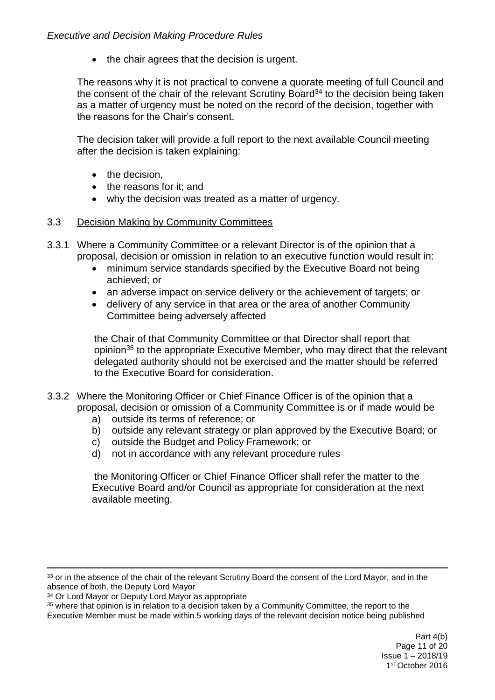• the chair agrees that the decision is urgent.

The reasons why it is not practical to convene a quorate meeting of full Council and the consent of the chair of the relevant Scrutiny Board<sup>34</sup> to the decision being taken as a matter of urgency must be noted on the record of the decision, together with the reasons for the Chair's consent.

The decision taker will provide a full report to the next available Council meeting after the decision is taken explaining:

- $\bullet$  the decision.
- the reasons for it: and
- why the decision was treated as a matter of urgency.

### 3.3 Decision Making by Community Committees

3.3.1 Where a Community Committee or a relevant Director is of the opinion that a proposal, decision or omission in relation to an executive function would result in:

- minimum service standards specified by the Executive Board not being achieved; or
- an adverse impact on service delivery or the achievement of targets; or
- delivery of any service in that area or the area of another Community Committee being adversely affected

the Chair of that Community Committee or that Director shall report that opinion<sup>35</sup> to the appropriate Executive Member, who may direct that the relevant delegated authority should not be exercised and the matter should be referred to the Executive Board for consideration.

3.3.2 Where the Monitoring Officer or Chief Finance Officer is of the opinion that a proposal, decision or omission of a Community Committee is or if made would be

- a) outside its terms of reference; or
- b) outside any relevant strategy or plan approved by the Executive Board; or
- c) outside the Budget and Policy Framework; or
- d) not in accordance with any relevant procedure rules

the Monitoring Officer or Chief Finance Officer shall refer the matter to the Executive Board and/or Council as appropriate for consideration at the next available meeting.

1

Executive Member must be made within 5 working days of the relevant decision notice being published

<sup>33</sup> or in the absence of the chair of the relevant Scrutiny Board the consent of the Lord Mayor, and in the absence of both, the Deputy Lord Mayor

<sup>&</sup>lt;sup>34</sup> Or Lord Mayor or Deputy Lord Mayor as appropriate

 $35$  where that opinion is in relation to a decision taken by a Community Committee, the report to the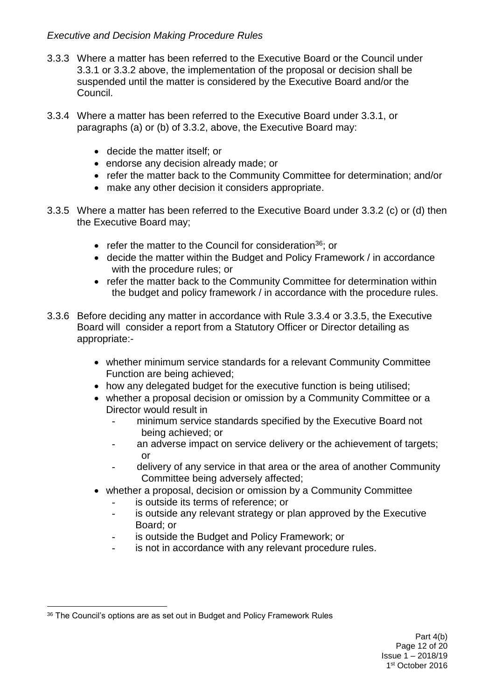- 3.3.3 Where a matter has been referred to the Executive Board or the Council under 3.3.1 or 3.3.2 above, the implementation of the proposal or decision shall be suspended until the matter is considered by the Executive Board and/or the Council.
- 3.3.4 Where a matter has been referred to the Executive Board under 3.3.1, or paragraphs (a) or (b) of 3.3.2, above, the Executive Board may:
	- decide the matter itself; or
	- endorse any decision already made: or
	- refer the matter back to the Community Committee for determination; and/or
	- make any other decision it considers appropriate.
- 3.3.5 Where a matter has been referred to the Executive Board under 3.3.2 (c) or (d) then the Executive Board may;
	- refer the matter to the Council for consideration<sup>36</sup>; or
	- decide the matter within the Budget and Policy Framework / in accordance with the procedure rules; or
	- refer the matter back to the Community Committee for determination within the budget and policy framework / in accordance with the procedure rules.
- 3.3.6 Before deciding any matter in accordance with Rule 3.3.4 or 3.3.5, the Executive Board will consider a report from a Statutory Officer or Director detailing as appropriate:
	- whether minimum service standards for a relevant Community Committee Function are being achieved;
	- how any delegated budget for the executive function is being utilised;
	- whether a proposal decision or omission by a Community Committee or a Director would result in
		- minimum service standards specified by the Executive Board not being achieved; or
		- an adverse impact on service delivery or the achievement of targets; or
		- delivery of any service in that area or the area of another Community Committee being adversely affected;
	- whether a proposal, decision or omission by a Community Committee
		- is outside its terms of reference; or
		- is outside any relevant strategy or plan approved by the Executive Board; or
		- is outside the Budget and Policy Framework; or
		- is not in accordance with any relevant procedure rules.

<sup>1</sup> <sup>36</sup> The Council's options are as set out in Budget and Policy Framework Rules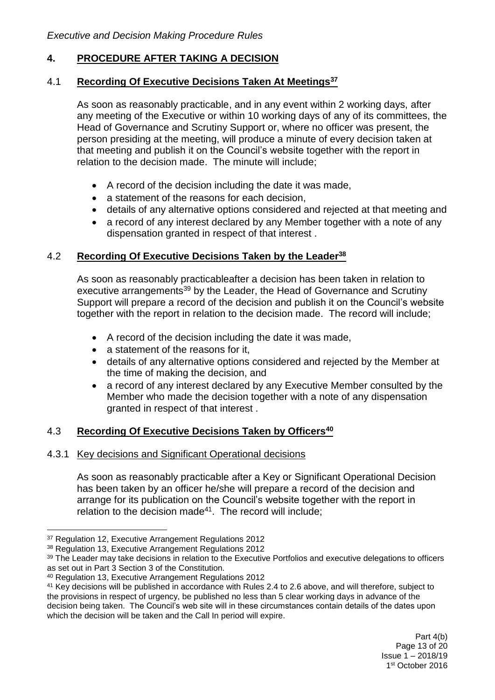### **4. PROCEDURE AFTER TAKING A DECISION**

#### 4.1 **Recording Of Executive Decisions Taken At Meetings<sup>37</sup>**

As soon as reasonably practicable, and in any event within 2 working days, after any meeting of the Executive or within 10 working days of any of its committees, the Head of Governance and Scrutiny Support or, where no officer was present, the person presiding at the meeting, will produce a minute of every decision taken at that meeting and publish it on the Council's website together with the report in relation to the decision made. The minute will include;

- A record of the decision including the date it was made,
- a statement of the reasons for each decision,
- details of any alternative options considered and rejected at that meeting and
- a record of any interest declared by any Member together with a note of any dispensation granted in respect of that interest .

### 4.2 **Recording Of Executive Decisions Taken by the Leader<sup>38</sup>**

As soon as reasonably practicableafter a decision has been taken in relation to executive arrangements<sup>39</sup> by the Leader, the Head of Governance and Scrutiny Support will prepare a record of the decision and publish it on the Council's website together with the report in relation to the decision made. The record will include;

- A record of the decision including the date it was made,
- a statement of the reasons for it,
- details of any alternative options considered and rejected by the Member at the time of making the decision, and
- a record of any interest declared by any Executive Member consulted by the Member who made the decision together with a note of any dispensation granted in respect of that interest .

### 4.3 **Recording Of Executive Decisions Taken by Officers<sup>40</sup>**

### 4.3.1 Key decisions and Significant Operational decisions

As soon as reasonably practicable after a Key or Significant Operational Decision has been taken by an officer he/she will prepare a record of the decision and arrange for its publication on the Council's website together with the report in relation to the decision made<sup>41</sup>. The record will include:

<sup>&</sup>lt;sup>37</sup> Regulation 12, Executive Arrangement Regulations 2012

<sup>38</sup> Regulation 13, Executive Arrangement Regulations 2012

<sup>39</sup> The Leader may take decisions in relation to the Executive Portfolios and executive delegations to officers as set out in Part 3 Section 3 of the Constitution.

<sup>40</sup> Regulation 13, Executive Arrangement Regulations 2012

<sup>41</sup> Key decisions will be published in accordance with Rules 2.4 to 2.6 above, and will therefore, subject to the provisions in respect of urgency, be published no less than 5 clear working days in advance of the decision being taken. The Council's web site will in these circumstances contain details of the dates upon which the decision will be taken and the Call In period will expire.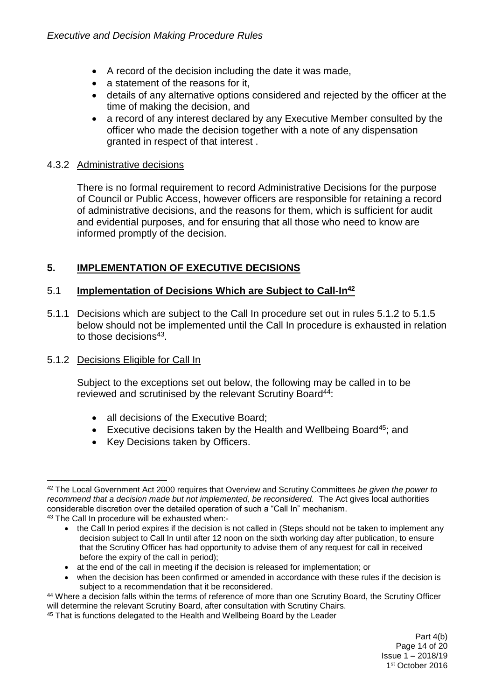- A record of the decision including the date it was made,
- a statement of the reasons for it,
- details of any alternative options considered and rejected by the officer at the time of making the decision, and
- a record of any interest declared by any Executive Member consulted by the officer who made the decision together with a note of any dispensation granted in respect of that interest .

### 4.3.2 Administrative decisions

There is no formal requirement to record Administrative Decisions for the purpose of Council or Public Access, however officers are responsible for retaining a record of administrative decisions, and the reasons for them, which is sufficient for audit and evidential purposes, and for ensuring that all those who need to know are informed promptly of the decision.

# **5. IMPLEMENTATION OF EXECUTIVE DECISIONS**

## 5.1 **Implementation of Decisions Which are Subject to Call-In<sup>42</sup>**

5.1.1 Decisions which are subject to the Call In procedure set out in rules 5.1.2 to 5.1.5 below should not be implemented until the Call In procedure is exhausted in relation to those decisions<sup>43</sup>.

## 5.1.2 Decisions Eligible for Call In

Subject to the exceptions set out below, the following may be called in to be reviewed and scrutinised by the relevant Scrutiny Board<sup>44</sup>:

- all decisions of the Executive Board:
- Executive decisions taken by the Health and Wellbeing Board<sup>45</sup>; and
- Key Decisions taken by Officers.

<sup>1</sup> <sup>42</sup> The Local Government Act 2000 requires that Overview and Scrutiny Committees *be given the power to recommend that a decision made but not implemented, be reconsidered.* The Act gives local authorities considerable discretion over the detailed operation of such a "Call In" mechanism. <sup>43</sup> The Call In procedure will be exhausted when:-

<sup>•</sup> the Call In period expires if the decision is not called in (Steps should not be taken to implement any decision subject to Call In until after 12 noon on the sixth working day after publication, to ensure that the Scrutiny Officer has had opportunity to advise them of any request for call in received before the expiry of the call in period);

at the end of the call in meeting if the decision is released for implementation; or

when the decision has been confirmed or amended in accordance with these rules if the decision is subject to a recommendation that it be reconsidered.

<sup>44</sup> Where a decision falls within the terms of reference of more than one Scrutiny Board, the Scrutiny Officer will determine the relevant Scrutiny Board, after consultation with Scrutiny Chairs.

<sup>&</sup>lt;sup>45</sup> That is functions delegated to the Health and Wellbeing Board by the Leader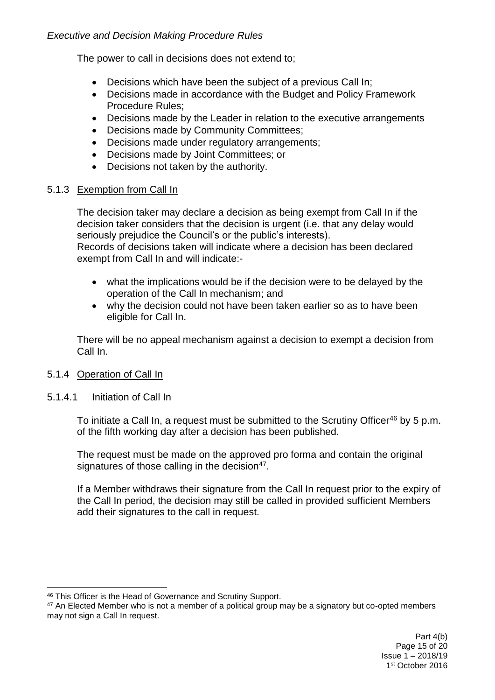The power to call in decisions does not extend to;

- Decisions which have been the subject of a previous Call In;
- Decisions made in accordance with the Budget and Policy Framework Procedure Rules;
- Decisions made by the Leader in relation to the executive arrangements
- Decisions made by Community Committees:
- Decisions made under regulatory arrangements;
- Decisions made by Joint Committees; or
- Decisions not taken by the authority.

## 5.1.3 Exemption from Call In

The decision taker may declare a decision as being exempt from Call In if the decision taker considers that the decision is urgent (i.e. that any delay would seriously prejudice the Council's or the public's interests). Records of decisions taken will indicate where a decision has been declared exempt from Call In and will indicate:-

- what the implications would be if the decision were to be delayed by the operation of the Call In mechanism; and
- why the decision could not have been taken earlier so as to have been eligible for Call In.

There will be no appeal mechanism against a decision to exempt a decision from Call In.

## 5.1.4 Operation of Call In

## 5.1.4.1 Initiation of Call In

1

To initiate a Call In, a request must be submitted to the Scrutiny Officer<sup>46</sup> by 5 p.m. of the fifth working day after a decision has been published.

The request must be made on the approved pro forma and contain the original signatures of those calling in the decision<sup>47</sup>.

If a Member withdraws their signature from the Call In request prior to the expiry of the Call In period, the decision may still be called in provided sufficient Members add their signatures to the call in request.

<sup>46</sup> This Officer is the Head of Governance and Scrutiny Support.

<sup>&</sup>lt;sup>47</sup> An Elected Member who is not a member of a political group may be a signatory but co-opted members may not sign a Call In request.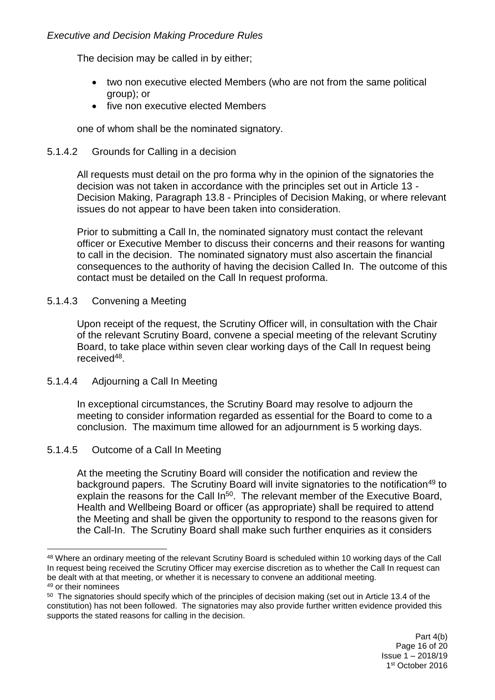The decision may be called in by either;

- two non executive elected Members (who are not from the same political group); or
- five non executive elected Members

one of whom shall be the nominated signatory.

### 5.1.4.2 Grounds for Calling in a decision

All requests must detail on the pro forma why in the opinion of the signatories the decision was not taken in accordance with the principles set out in Article 13 - Decision Making, Paragraph 13.8 - Principles of Decision Making, or where relevant issues do not appear to have been taken into consideration.

Prior to submitting a Call In, the nominated signatory must contact the relevant officer or Executive Member to discuss their concerns and their reasons for wanting to call in the decision. The nominated signatory must also ascertain the financial consequences to the authority of having the decision Called In. The outcome of this contact must be detailed on the Call In request proforma.

### 5.1.4.3 Convening a Meeting

Upon receipt of the request, the Scrutiny Officer will, in consultation with the Chair of the relevant Scrutiny Board, convene a special meeting of the relevant Scrutiny Board, to take place within seven clear working days of the Call In request being received<sup>48</sup>.

### 5.1.4.4 Adjourning a Call In Meeting

In exceptional circumstances, the Scrutiny Board may resolve to adjourn the meeting to consider information regarded as essential for the Board to come to a conclusion. The maximum time allowed for an adjournment is 5 working days.

## 5.1.4.5 Outcome of a Call In Meeting

At the meeting the Scrutiny Board will consider the notification and review the background papers. The Scrutiny Board will invite signatories to the notification<sup>49</sup> to explain the reasons for the Call In<sup>50</sup>. The relevant member of the Executive Board, Health and Wellbeing Board or officer (as appropriate) shall be required to attend the Meeting and shall be given the opportunity to respond to the reasons given for the Call-In. The Scrutiny Board shall make such further enquiries as it considers

<sup>1</sup> <sup>48</sup> Where an ordinary meeting of the relevant Scrutiny Board is scheduled within 10 working days of the Call In request being received the Scrutiny Officer may exercise discretion as to whether the Call In request can be dealt with at that meeting, or whether it is necessary to convene an additional meeting. <sup>49</sup> or their nominees

 $50$  The signatories should specify which of the principles of decision making (set out in Article 13.4 of the constitution) has not been followed. The signatories may also provide further written evidence provided this supports the stated reasons for calling in the decision.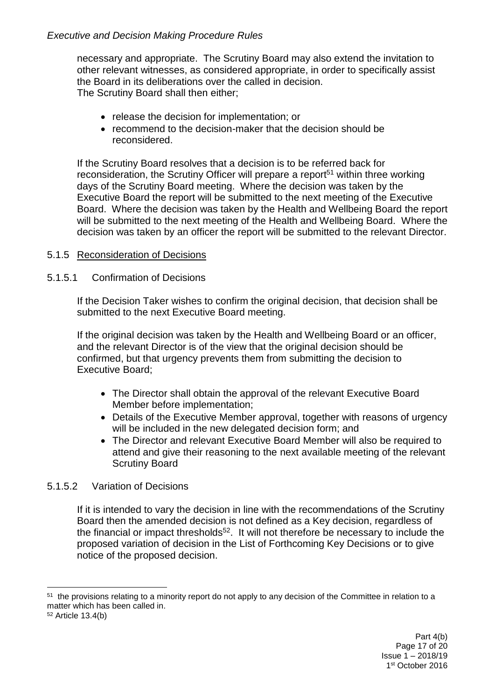necessary and appropriate. The Scrutiny Board may also extend the invitation to other relevant witnesses, as considered appropriate, in order to specifically assist the Board in its deliberations over the called in decision. The Scrutiny Board shall then either;

- release the decision for implementation; or
- recommend to the decision-maker that the decision should be reconsidered.

If the Scrutiny Board resolves that a decision is to be referred back for reconsideration, the Scrutiny Officer will prepare a report<sup>51</sup> within three working days of the Scrutiny Board meeting. Where the decision was taken by the Executive Board the report will be submitted to the next meeting of the Executive Board. Where the decision was taken by the Health and Wellbeing Board the report will be submitted to the next meeting of the Health and Wellbeing Board. Where the decision was taken by an officer the report will be submitted to the relevant Director.

# 5.1.5 Reconsideration of Decisions

## 5.1.5.1 Confirmation of Decisions

If the Decision Taker wishes to confirm the original decision, that decision shall be submitted to the next Executive Board meeting.

If the original decision was taken by the Health and Wellbeing Board or an officer, and the relevant Director is of the view that the original decision should be confirmed, but that urgency prevents them from submitting the decision to Executive Board;

- The Director shall obtain the approval of the relevant Executive Board Member before implementation;
- Details of the Executive Member approval, together with reasons of urgency will be included in the new delegated decision form; and
- The Director and relevant Executive Board Member will also be required to attend and give their reasoning to the next available meeting of the relevant Scrutiny Board

## 5.1.5.2 Variation of Decisions

If it is intended to vary the decision in line with the recommendations of the Scrutiny Board then the amended decision is not defined as a Key decision, regardless of the financial or impact thresholds<sup>52</sup>. It will not therefore be necessary to include the proposed variation of decision in the List of Forthcoming Key Decisions or to give notice of the proposed decision.

<sup>1</sup> <sup>51</sup> the provisions relating to a minority report do not apply to any decision of the Committee in relation to a matter which has been called in.

<sup>52</sup> Article 13.4(b)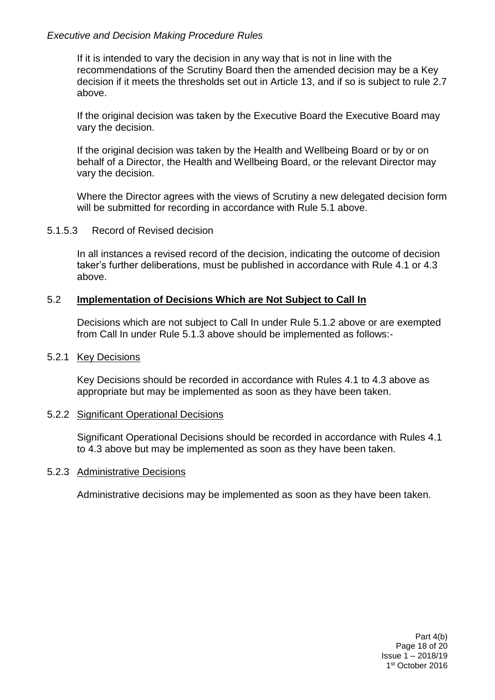If it is intended to vary the decision in any way that is not in line with the recommendations of the Scrutiny Board then the amended decision may be a Key decision if it meets the thresholds set out in Article 13, and if so is subject to rule 2.7 above.

If the original decision was taken by the Executive Board the Executive Board may vary the decision.

If the original decision was taken by the Health and Wellbeing Board or by or on behalf of a Director, the Health and Wellbeing Board, or the relevant Director may vary the decision.

Where the Director agrees with the views of Scrutiny a new delegated decision form will be submitted for recording in accordance with Rule 5.1 above.

#### 5.1.5.3 Record of Revised decision

In all instances a revised record of the decision, indicating the outcome of decision taker's further deliberations, must be published in accordance with Rule 4.1 or 4.3 above.

### 5.2 **Implementation of Decisions Which are Not Subject to Call In**

Decisions which are not subject to Call In under Rule 5.1.2 above or are exempted from Call In under Rule 5.1.3 above should be implemented as follows:-

#### 5.2.1 Key Decisions

Key Decisions should be recorded in accordance with Rules 4.1 to 4.3 above as appropriate but may be implemented as soon as they have been taken.

#### 5.2.2 Significant Operational Decisions

Significant Operational Decisions should be recorded in accordance with Rules 4.1 to 4.3 above but may be implemented as soon as they have been taken.

#### 5.2.3 Administrative Decisions

Administrative decisions may be implemented as soon as they have been taken.

Part 4(b) Page 18 of 20 Issue 1 – 2018/19 1 st October 2016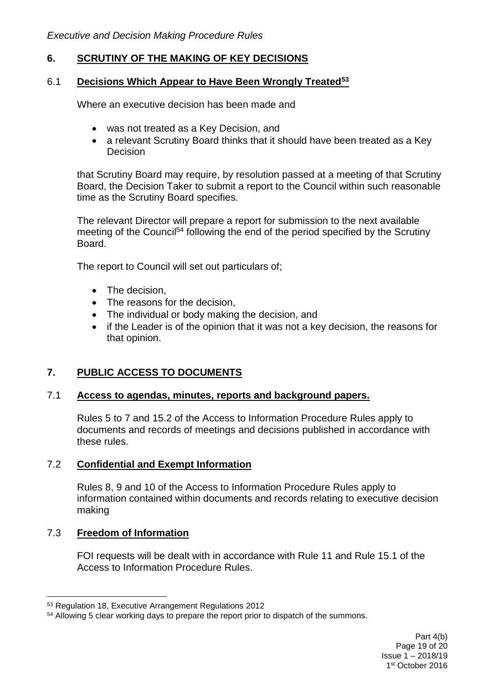### **6. SCRUTINY OF THE MAKING OF KEY DECISIONS**

### 6.1 **Decisions Which Appear to Have Been Wrongly Treated<sup>53</sup>**

Where an executive decision has been made and

- was not treated as a Key Decision, and
- a relevant Scrutiny Board thinks that it should have been treated as a Key **Decision**

that Scrutiny Board may require, by resolution passed at a meeting of that Scrutiny Board, the Decision Taker to submit a report to the Council within such reasonable time as the Scrutiny Board specifies.

The relevant Director will prepare a report for submission to the next available meeting of the Council<sup>54</sup> following the end of the period specified by the Scrutiny **Board** 

The report to Council will set out particulars of;

- The decision.
- The reasons for the decision.
- The individual or body making the decision, and
- if the Leader is of the opinion that it was not a key decision, the reasons for that opinion.

## **7. PUBLIC ACCESS TO DOCUMENTS**

### 7.1 **Access to agendas, minutes, reports and background papers.**

Rules 5 to 7 and 15.2 of the Access to Information Procedure Rules apply to documents and records of meetings and decisions published in accordance with these rules.

### 7.2 **Confidential and Exempt Information**

Rules 8, 9 and 10 of the Access to Information Procedure Rules apply to information contained within documents and records relating to executive decision making

### 7.3 **Freedom of Information**

FOI requests will be dealt with in accordance with Rule 11 and Rule 15.1 of the Access to Information Procedure Rules.

<sup>&</sup>lt;u>.</u> <sup>53</sup> Regulation 18, Executive Arrangement Regulations 2012

<sup>54</sup> Allowing 5 clear working days to prepare the report prior to dispatch of the summons.